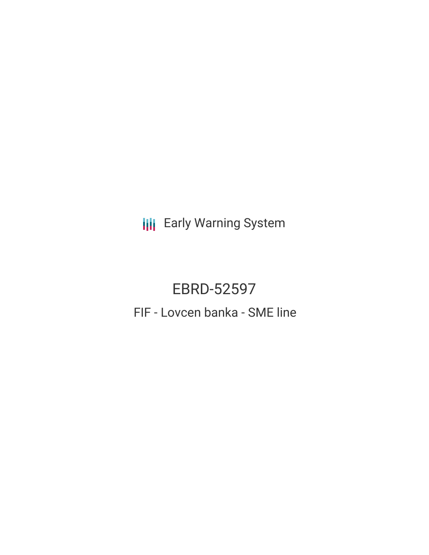**III** Early Warning System

# EBRD-52597 FIF - Lovcen banka - SME line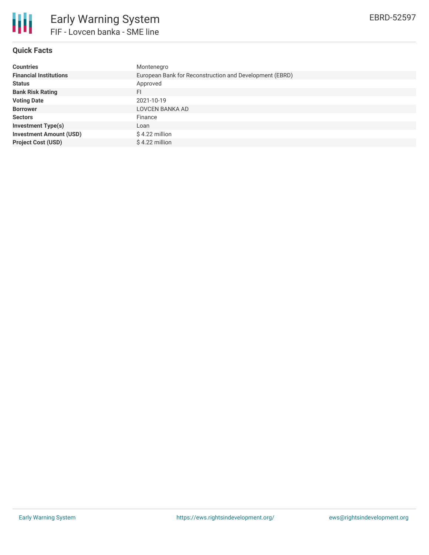

# **Quick Facts**

| <b>Countries</b>               | Montenegro                                              |
|--------------------------------|---------------------------------------------------------|
| <b>Financial Institutions</b>  | European Bank for Reconstruction and Development (EBRD) |
| <b>Status</b>                  | Approved                                                |
| <b>Bank Risk Rating</b>        | FI                                                      |
| <b>Voting Date</b>             | 2021-10-19                                              |
| <b>Borrower</b>                | LOVCEN BANKA AD                                         |
| <b>Sectors</b>                 | Finance                                                 |
| <b>Investment Type(s)</b>      | Loan                                                    |
| <b>Investment Amount (USD)</b> | $$4.22$ million                                         |
| <b>Project Cost (USD)</b>      | \$4.22 million                                          |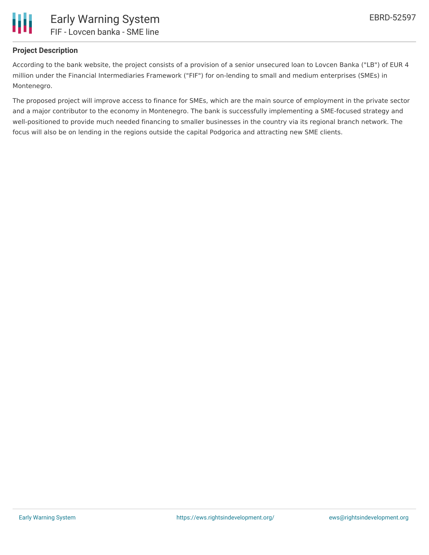

### **Project Description**

According to the bank website, the project consists of a provision of a senior unsecured loan to Lovcen Banka ("LB") of EUR 4 million under the Financial Intermediaries Framework ("FIF") for on-lending to small and medium enterprises (SMEs) in Montenegro.

The proposed project will improve access to finance for SMEs, which are the main source of employment in the private sector and a major contributor to the economy in Montenegro. The bank is successfully implementing a SME-focused strategy and well-positioned to provide much needed financing to smaller businesses in the country via its regional branch network. The focus will also be on lending in the regions outside the capital Podgorica and attracting new SME clients.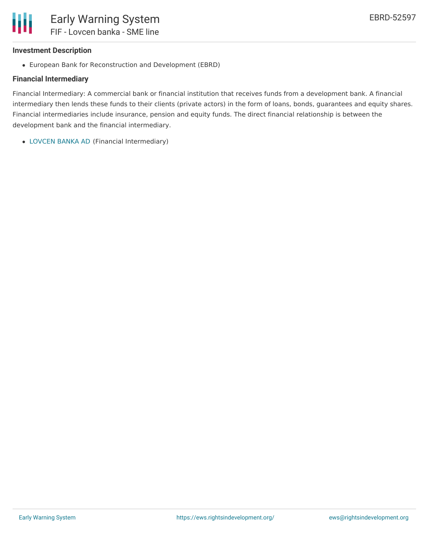#### **Investment Description**

European Bank for Reconstruction and Development (EBRD)

# **Financial Intermediary**

Financial Intermediary: A commercial bank or financial institution that receives funds from a development bank. A financial intermediary then lends these funds to their clients (private actors) in the form of loans, bonds, guarantees and equity shares. Financial intermediaries include insurance, pension and equity funds. The direct financial relationship is between the development bank and the financial intermediary.

[LOVCEN](file:///actor/7751/) BANKA AD (Financial Intermediary)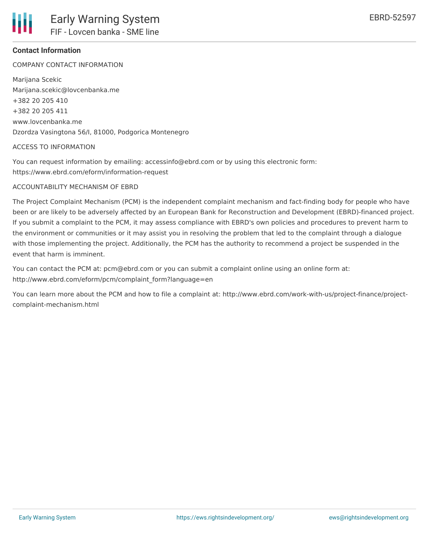

# **Contact Information**

COMPANY CONTACT INFORMATION

Marijana Scekic Marijana.scekic@lovcenbanka.me +382 20 205 410 +382 20 205 411 www.lovcenbanka.me Dzordza Vasingtona 56/I, 81000, Podgorica Montenegro

#### ACCESS TO INFORMATION

You can request information by emailing: accessinfo@ebrd.com or by using this electronic form: https://www.ebrd.com/eform/information-request

#### ACCOUNTABILITY MECHANISM OF EBRD

The Project Complaint Mechanism (PCM) is the independent complaint mechanism and fact-finding body for people who have been or are likely to be adversely affected by an European Bank for Reconstruction and Development (EBRD)-financed project. If you submit a complaint to the PCM, it may assess compliance with EBRD's own policies and procedures to prevent harm to the environment or communities or it may assist you in resolving the problem that led to the complaint through a dialogue with those implementing the project. Additionally, the PCM has the authority to recommend a project be suspended in the event that harm is imminent.

You can contact the PCM at: pcm@ebrd.com or you can submit a complaint online using an online form at: http://www.ebrd.com/eform/pcm/complaint\_form?language=en

You can learn more about the PCM and how to file a complaint at: http://www.ebrd.com/work-with-us/project-finance/projectcomplaint-mechanism.html